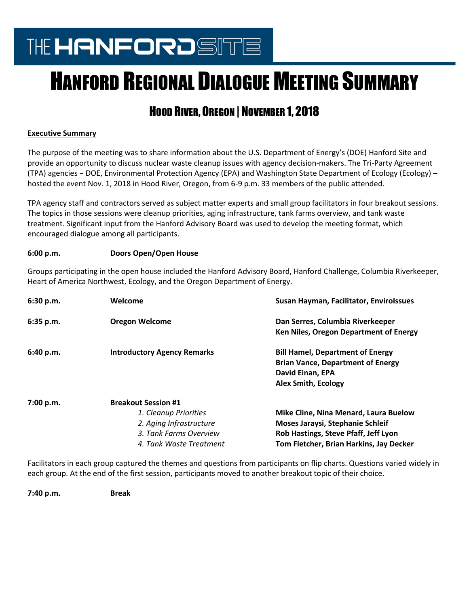## THE HANFORDSITE

# HANFORD REGIONAL DIALOGUE MEETING SUMMARY

### HOOD RIVER, OREGON | NOVEMBER 1, 2018

#### **Executive Summary**

The purpose of the meeting was to share information about the U.S. Department of Energy's (DOE) Hanford Site and provide an opportunity to discuss nuclear waste cleanup issues with agency decision-makers. The Tri-Party Agreement (TPA) agencies − DOE, Environmental Protection Agency (EPA) and Washington State Department of Ecology (Ecology) – hosted the event Nov. 1, 2018 in Hood River, Oregon, from 6-9 p.m. 33 members of the public attended.

TPA agency staff and contractors served as subject matter experts and small group facilitators in four breakout sessions. The topics in those sessions were cleanup priorities, aging infrastructure, tank farms overview, and tank waste treatment. Significant input from the Hanford Advisory Board was used to develop the meeting format, which encouraged dialogue among all participants.

#### **6:00 p.m. Doors Open/Open House**

Groups participating in the open house included the Hanford Advisory Board, Hanford Challenge, Columbia Riverkeeper, Heart of America Northwest, Ecology, and the Oregon Department of Energy.

| 6:30 p.m. | Welcome                                                                                                                             | Susan Hayman, Facilitator, Envirolssues                                                                                                                      |
|-----------|-------------------------------------------------------------------------------------------------------------------------------------|--------------------------------------------------------------------------------------------------------------------------------------------------------------|
| 6:35 p.m. | <b>Oregon Welcome</b>                                                                                                               | Dan Serres, Columbia Riverkeeper<br>Ken Niles, Oregon Department of Energy                                                                                   |
| 6:40 p.m. | <b>Introductory Agency Remarks</b>                                                                                                  | <b>Bill Hamel, Department of Energy</b><br><b>Brian Vance, Department of Energy</b><br>David Einan, EPA<br><b>Alex Smith, Ecology</b>                        |
| 7:00 p.m. | <b>Breakout Session #1</b><br>1. Cleanup Priorities<br>2. Aging Infrastructure<br>3. Tank Farms Overview<br>4. Tank Waste Treatment | Mike Cline, Nina Menard, Laura Buelow<br>Moses Jaraysi, Stephanie Schleif<br>Rob Hastings, Steve Pfaff, Jeff Lyon<br>Tom Fletcher, Brian Harkins, Jay Decker |

Facilitators in each group captured the themes and questions from participants on flip charts. Questions varied widely in each group. At the end of the first session, participants moved to another breakout topic of their choice.

**7:40 p.m. Break**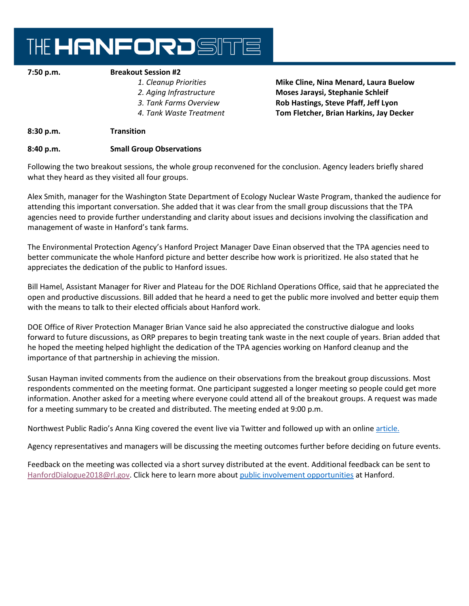### THE HANFORDSITE

#### **7:50 p.m. Breakout Session #2**

- 
- 
- 
- 

#### *1. Cleanup Priorities* **Mike Cline, Nina Menard, Laura Buelow** *2. Aging Infrastructure* **Moses Jaraysi, Stephanie Schleif**  *3. Tank Farms Overview* **Rob Hastings, Steve Pfaff, Jeff Lyon** *4. Tank Waste Treatment* **Tom Fletcher, Brian Harkins, Jay Decker**

#### **8:30 p.m. Transition**

#### **8:40 p.m. Small Group Observations**

Following the two breakout sessions, the whole group reconvened for the conclusion. Agency leaders briefly shared what they heard as they visited all four groups.

Alex Smith, manager for the Washington State Department of Ecology Nuclear Waste Program, thanked the audience for attending this important conversation. She added that it was clear from the small group discussions that the TPA agencies need to provide further understanding and clarity about issues and decisions involving the classification and management of waste in Hanford's tank farms.

The Environmental Protection Agency's Hanford Project Manager Dave Einan observed that the TPA agencies need to better communicate the whole Hanford picture and better describe how work is prioritized. He also stated that he appreciates the dedication of the public to Hanford issues.

Bill Hamel, Assistant Manager for River and Plateau for the DOE Richland Operations Office, said that he appreciated the open and productive discussions. Bill added that he heard a need to get the public more involved and better equip them with the means to talk to their elected officials about Hanford work.

DOE Office of River Protection Manager Brian Vance said he also appreciated the constructive dialogue and looks forward to future discussions, as ORP prepares to begin treating tank waste in the next couple of years. Brian added that he hoped the meeting helped highlight the dedication of the TPA agencies working on Hanford cleanup and the importance of that partnership in achieving the mission.

Susan Hayman invited comments from the audience on their observations from the breakout group discussions. Most respondents commented on the meeting format. One participant suggested a longer meeting so people could get more information. Another asked for a meeting where everyone could attend all of the breakout groups. A request was made for a meeting summary to be created and distributed. The meeting ended at 9:00 p.m.

Northwest Public Radio's Anna King covered the event live via Twitter and followed up with an online [article.](https://www.nwpb.org/2018/11/02/health-of-columbia-river-draws-crowd-to-rare-hanford-public-meeting-in-hood-river/)

Agency representatives and managers will be discussing the meeting outcomes further before deciding on future events.

Feedback on the meeting was collected via a short survey distributed at the event. Additional feedback can be sent to [HanfordDialogue2018@rl.gov.](mailto:HanfordDialogue2018@rl.gov) Click here to learn more about [public involvement opportunities](https://www.hanford.gov/page.cfm/Outreach/PublicCommentOpportunities) at Hanford.